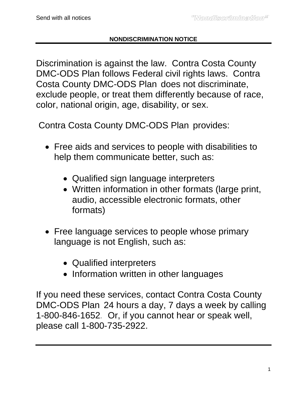## **NONDISCRIMINATION NOTICE**

Discrimination is against the law. Contra Costa County DMC-ODS Plan follows Federal civil rights laws. Contra Costa County DMC-ODS Plan does not discriminate, exclude people, or treat them differently because of race, color, national origin, age, disability, or sex.

Contra Costa County DMC-ODS Plan provides:

- Free aids and services to people with disabilities to help them communicate better, such as:
	- Qualified sign language interpreters
	- Written information in other formats (large print, audio, accessible electronic formats, other formats)
- Free language services to people whose primary language is not English, such as:
	- Qualified interpreters
	- Information written in other languages

If you need these services, contact Contra Costa County DMC-ODS Plan 24 hours a day, 7 days a week by calling 1-800-846-1652*.* Or, if you cannot hear or speak well, please call 1-800-735-2922.